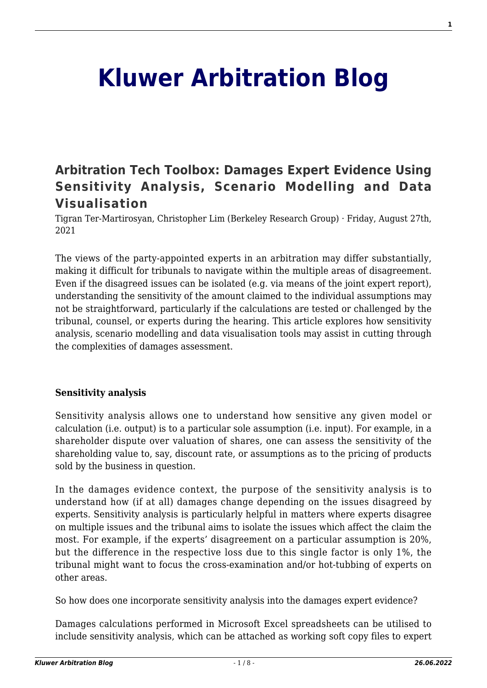# **[Kluwer Arbitration Blog](http://arbitrationblog.kluwerarbitration.com/)**

# **[Arbitration Tech Toolbox: Damages Expert Evidence Using](http://arbitrationblog.kluwerarbitration.com/2021/08/27/arbitration-tech-toolbox-damages-expert-evidence-using-sensitivity-analysis-scenario-modelling-and-data-visualisation/) [Sensitivity Analysis, Scenario Modelling and Data](http://arbitrationblog.kluwerarbitration.com/2021/08/27/arbitration-tech-toolbox-damages-expert-evidence-using-sensitivity-analysis-scenario-modelling-and-data-visualisation/) [Visualisation](http://arbitrationblog.kluwerarbitration.com/2021/08/27/arbitration-tech-toolbox-damages-expert-evidence-using-sensitivity-analysis-scenario-modelling-and-data-visualisation/)**

Tigran Ter-Martirosyan, Christopher Lim (Berkeley Research Group) · Friday, August 27th, 2021

The views of the party-appointed experts in an arbitration may differ substantially, making it difficult for tribunals to navigate within the multiple areas of disagreement. Even if the disagreed issues can be isolated (e.g. via means of the joint expert report), understanding the sensitivity of the amount claimed to the individual assumptions may not be straightforward, particularly if the calculations are tested or challenged by the tribunal, counsel, or experts during the hearing. This article explores how sensitivity analysis, scenario modelling and data visualisation tools may assist in cutting through the complexities of damages assessment.

#### **Sensitivity analysis**

Sensitivity analysis allows one to understand how sensitive any given model or calculation (i.e. output) is to a particular sole assumption (i.e. input). For example, in a shareholder dispute over valuation of shares, one can assess the sensitivity of the shareholding value to, say, discount rate, or assumptions as to the pricing of products sold by the business in question.

In the damages evidence context, the purpose of the sensitivity analysis is to understand how (if at all) damages change depending on the issues disagreed by experts. Sensitivity analysis is particularly helpful in matters where experts disagree on multiple issues and the tribunal aims to isolate the issues which affect the claim the most. For example, if the experts' disagreement on a particular assumption is 20%, but the difference in the respective loss due to this single factor is only 1%, the tribunal might want to focus the cross-examination and/or hot-tubbing of experts on other areas.

So how does one incorporate sensitivity analysis into the damages expert evidence?

Damages calculations performed in Microsoft Excel spreadsheets can be utilised to include sensitivity analysis, which can be attached as working soft copy files to expert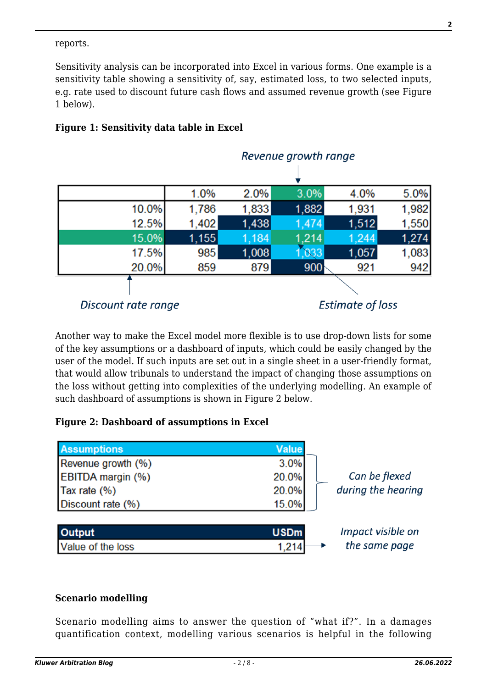#### reports.

Sensitivity analysis can be incorporated into Excel in various forms. One example is a sensitivity table showing a sensitivity of, say, estimated loss, to two selected inputs, e.g. rate used to discount future cash flows and assumed revenue growth (see Figure 1 below).



#### **Figure 1: Sensitivity data table in Excel**

Another way to make the Excel model more flexible is to use drop-down lists for some of the key assumptions or a dashboard of inputs, which could be easily changed by the user of the model. If such inputs are set out in a single sheet in a user-friendly format, that would allow tribunals to understand the impact of changing those assumptions on the loss without getting into complexities of the underlying modelling. An example of such dashboard of assumptions is shown in Figure 2 below.

#### **Figure 2: Dashboard of assumptions in Excel**

| <b>Assumptions</b>       | <b>Value</b> |                    |
|--------------------------|--------------|--------------------|
| Revenue growth (%)       | 3.0%         |                    |
| <b>EBITDA</b> margin (%) | 20.0%        | Can be flexed      |
| Tax rate (%)             | 20.0%        | during the hearing |
| Discount rate (%)        | 15.0%        |                    |
|                          |              |                    |
| Output                   | <b>USDm</b>  | Impact visible on  |
| Value of the loss        | 1,214        | the same page      |

#### **Scenario modelling**

Scenario modelling aims to answer the question of "what if?". In a damages quantification context, modelling various scenarios is helpful in the following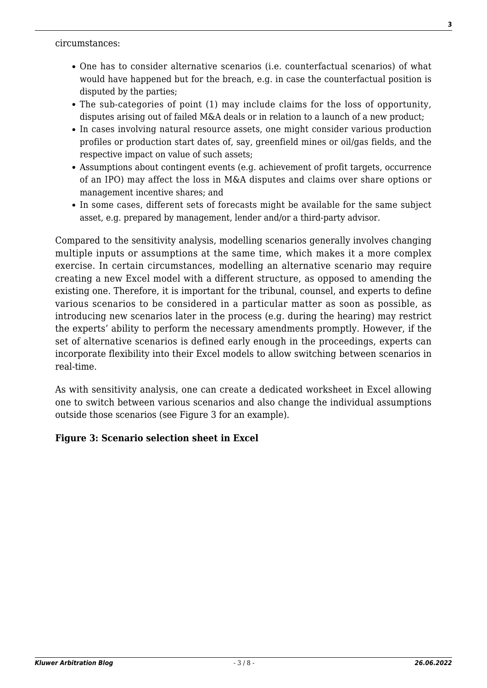circumstances:

- One has to consider alternative scenarios (i.e. counterfactual scenarios) of what would have happened but for the breach, e.g. in case the counterfactual position is disputed by the parties;
- The sub-categories of point (1) may include claims for the loss of opportunity, disputes arising out of failed M&A deals or in relation to a launch of a new product;
- In cases involving natural resource assets, one might consider various production profiles or production start dates of, say, greenfield mines or oil/gas fields, and the respective impact on value of such assets;
- Assumptions about contingent events (e.g. achievement of profit targets, occurrence of an IPO) may affect the loss in M&A disputes and claims over share options or management incentive shares; and
- In some cases, different sets of forecasts might be available for the same subject asset, e.g. prepared by management, lender and/or a third-party advisor.

Compared to the sensitivity analysis, modelling scenarios generally involves changing multiple inputs or assumptions at the same time, which makes it a more complex exercise. In certain circumstances, modelling an alternative scenario may require creating a new Excel model with a different structure, as opposed to amending the existing one. Therefore, it is important for the tribunal, counsel, and experts to define various scenarios to be considered in a particular matter as soon as possible, as introducing new scenarios later in the process (e.g. during the hearing) may restrict the experts' ability to perform the necessary amendments promptly. However, if the set of alternative scenarios is defined early enough in the proceedings, experts can incorporate flexibility into their Excel models to allow switching between scenarios in real-time.

As with sensitivity analysis, one can create a dedicated worksheet in Excel allowing one to switch between various scenarios and also change the individual assumptions outside those scenarios (see Figure 3 for an example).

#### **Figure 3: Scenario selection sheet in Excel**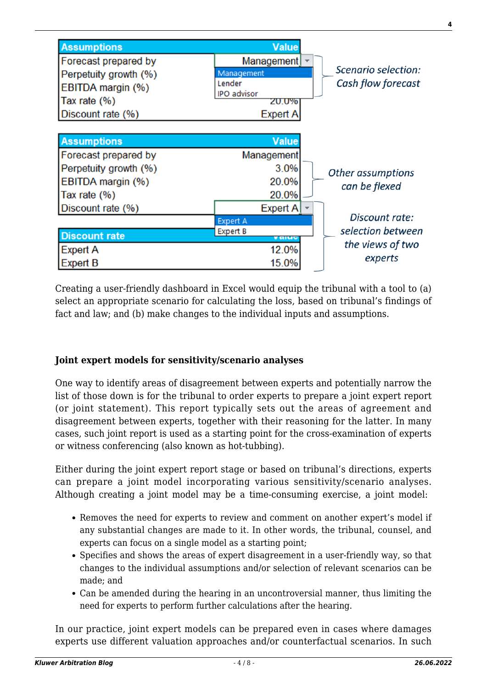

Creating a user-friendly dashboard in Excel would equip the tribunal with a tool to (a) select an appropriate scenario for calculating the loss, based on tribunal's findings of fact and law; and (b) make changes to the individual inputs and assumptions.

### **Joint expert models for sensitivity/scenario analyses**

One way to identify areas of disagreement between experts and potentially narrow the list of those down is for the tribunal to order experts to prepare a joint expert report (or joint statement). This report typically sets out the areas of agreement and disagreement between experts, together with their reasoning for the latter. In many cases, such joint report is used as a starting point for the cross-examination of experts or witness conferencing (also known as hot-tubbing).

Either during the joint expert report stage or based on tribunal's directions, experts can prepare a joint model incorporating various sensitivity/scenario analyses. Although creating a joint model may be a time-consuming exercise, a joint model:

- Removes the need for experts to review and comment on another expert's model if any substantial changes are made to it. In other words, the tribunal, counsel, and experts can focus on a single model as a starting point;
- Specifies and shows the areas of expert disagreement in a user-friendly way, so that changes to the individual assumptions and/or selection of relevant scenarios can be made; and
- Can be amended during the hearing in an uncontroversial manner, thus limiting the need for experts to perform further calculations after the hearing.

In our practice, joint expert models can be prepared even in cases where damages experts use different valuation approaches and/or counterfactual scenarios. In such **4**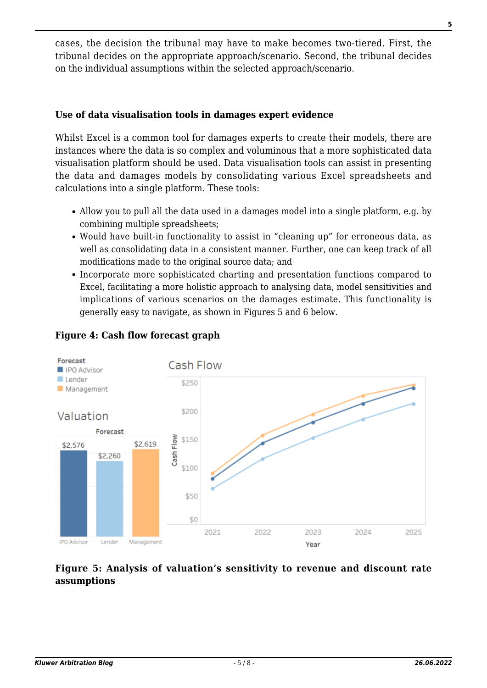cases, the decision the tribunal may have to make becomes two-tiered. First, the tribunal decides on the appropriate approach/scenario. Second, the tribunal decides on the individual assumptions within the selected approach/scenario.

#### **Use of data visualisation tools in damages expert evidence**

Whilst Excel is a common tool for damages experts to create their models, there are instances where the data is so complex and voluminous that a more sophisticated data visualisation platform should be used. Data visualisation tools can assist in presenting the data and damages models by consolidating various Excel spreadsheets and calculations into a single platform. These tools:

- Allow you to pull all the data used in a damages model into a single platform, e.g. by combining multiple spreadsheets;
- Would have built-in functionality to assist in "cleaning up" for erroneous data, as well as consolidating data in a consistent manner. Further, one can keep track of all modifications made to the original source data; and
- Incorporate more sophisticated charting and presentation functions compared to Excel, facilitating a more holistic approach to analysing data, model sensitivities and implications of various scenarios on the damages estimate. This functionality is generally easy to navigate, as shown in Figures 5 and 6 below.



#### **Figure 4: Cash flow forecast graph**

#### **Figure 5: Analysis of valuation's sensitivity to revenue and discount rate assumptions**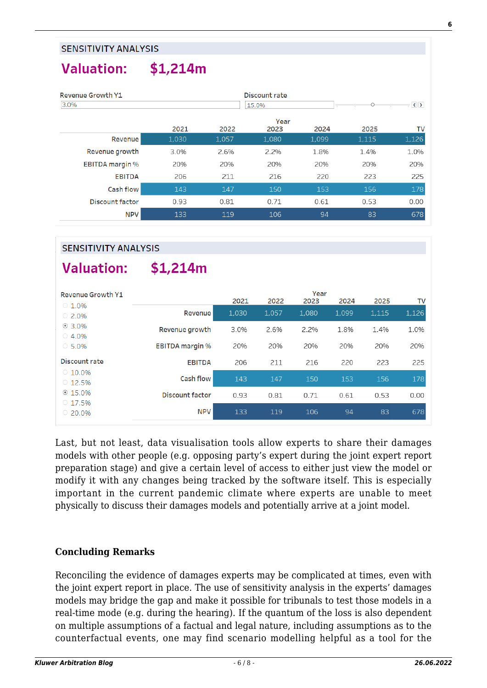#### **Valuation:**  $$1,214m$

| <b>Revenue Growth Y1</b><br>3.0% |       |       | Discount rate<br>15.0% |       |       | $ \sim$ $\rightarrow$ |
|----------------------------------|-------|-------|------------------------|-------|-------|-----------------------|
|                                  | 2021  | 2022  | Year<br>2023           | 2024  | 2025  | TV                    |
| <b>Revenue</b>                   | 1,030 | 1,057 | 1,080                  | 1,099 | 1,115 | 1,126                 |
| Revenue growth                   | 3.0%  | 2.6%  | 2.2%                   | 1.8%  | 1.4%  | 1.0%                  |
| <b>EBITDA</b> margin %           | 20%   | 20%   | 20%                    | 20%   | 20%   | 20%                   |
| <b>EBITDA</b>                    | 206   | 211   | 216                    | 220   | 223   | 225                   |
| Cash flow                        | 143   | 147   | 150                    | 153   | 156   | 178                   |
| <b>Discount factor</b>           | 0.93  | 0.81  | 0.71                   | 0.61  | 0.53  | 0.00                  |
| NPV                              | 133   | 119   | 106                    | 94    | 83    | 678                   |

#### **SENSITIVITY ANALYSIS**

## Valuation:

 $$1,214m$ 

| <b>Revenue Growth Y1</b> |                        | Year  |       |       |       |       |       |
|--------------------------|------------------------|-------|-------|-------|-------|-------|-------|
| $\circ$ 1.0%             |                        | 2021  | 2022  | 2023  | 2024  | 2025  | TV    |
| $\circ$ 2.0%             | Revenue                | 1,030 | 1.057 | 1.080 | 1.099 | 1,115 | 1,126 |
| $@3.0\%$                 | Revenue growth         | 3.0%  | 2.6%  | 2.2%  | 1.8%  | 1.4%  | 1.0%  |
| $\circ$ 4.0%             |                        |       |       |       |       |       |       |
| $\circ$ 5.0%             | <b>EBITDA</b> margin % | 20%   | 20%   | 20%   | 20%   | 20%   | 20%   |
| Discount rate            | <b>EBITDA</b>          | 206   | 211   | 216   | 220   | 223   | 225   |
| $0.10.0\%$               |                        |       |       |       |       |       |       |
| $\circ$ 12.5%            | Cash flow              | 143   | 147   | 150   | 153   | 156   | 178   |
| $@15.0\%$                | <b>Discount factor</b> | 0.93  | 0.81  | 0.71  | 0.61  | 0.53  | 0.00  |
| $\circ$ 17.5%            |                        |       |       |       |       |       |       |
| $\circ$ 20.0%            | <b>NPV</b>             | 133   | 119   | 106   | 94    | 83    | 678   |

Last, but not least, data visualisation tools allow experts to share their damages models with other people (e.g. opposing party's expert during the joint expert report preparation stage) and give a certain level of access to either just view the model or modify it with any changes being tracked by the software itself. This is especially important in the current pandemic climate where experts are unable to meet physically to discuss their damages models and potentially arrive at a joint model.

#### **Concluding Remarks**

Reconciling the evidence of damages experts may be complicated at times, even with the joint expert report in place. The use of sensitivity analysis in the experts' damages models may bridge the gap and make it possible for tribunals to test those models in a real-time mode (e.g. during the hearing). If the quantum of the loss is also dependent on multiple assumptions of a factual and legal nature, including assumptions as to the counterfactual events, one may find scenario modelling helpful as a tool for the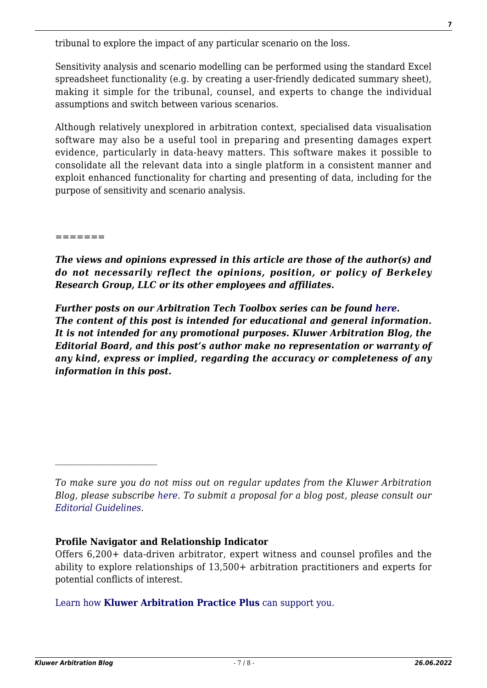tribunal to explore the impact of any particular scenario on the loss.

Sensitivity analysis and scenario modelling can be performed using the standard Excel spreadsheet functionality (e.g. by creating a user-friendly dedicated summary sheet), making it simple for the tribunal, counsel, and experts to change the individual assumptions and switch between various scenarios.

Although relatively unexplored in arbitration context, specialised data visualisation software may also be a useful tool in preparing and presenting damages expert evidence, particularly in data-heavy matters. This software makes it possible to consolidate all the relevant data into a single platform in a consistent manner and exploit enhanced functionality for charting and presenting of data, including for the purpose of sensitivity and scenario analysis.

=======

*The views and opinions expressed in this article are those of the author(s) and do not necessarily reflect the opinions, position, or policy of Berkeley Research Group, LLC or its other employees and affiliates.*

*Further posts on our Arbitration Tech Toolbox series can be found [here](http://arbitrationblog.kluwerarbitration.com/category/arbitration-tech-toolbox). The content of this post is intended for educational and general information. It is not intended for any promotional purposes. Kluwer Arbitration Blog, the Editorial Board, and this post's author make no representation or warranty of any kind, express or implied, regarding the accuracy or completeness of any information in this post.*

#### **Profile Navigator and Relationship Indicator**

Offers 6,200+ data-driven arbitrator, expert witness and counsel profiles and the ability to explore relationships of 13,500+ arbitration practitioners and experts for potential conflicts of interest.

[Learn how](https://www.wolterskluwer.com/en/solutions/kluwerarbitration/practiceplus?utm_source=arbitrationblog&utm_medium=articleCTA&utm_campaign=article-banner) **[Kluwer Arbitration Practice Plus](https://www.wolterskluwer.com/en/solutions/kluwerarbitration/practiceplus?utm_source=arbitrationblog&utm_medium=articleCTA&utm_campaign=article-banner)** [can support you.](https://www.wolterskluwer.com/en/solutions/kluwerarbitration/practiceplus?utm_source=arbitrationblog&utm_medium=articleCTA&utm_campaign=article-banner)

*To make sure you do not miss out on regular updates from the Kluwer Arbitration Blog, please subscribe [here](http://arbitrationblog.kluwerarbitration.com/newsletter/). To submit a proposal for a blog post, please consult our [Editorial Guidelines.](http://arbitrationblog.kluwerarbitration.com/editorial-guidelines/)*